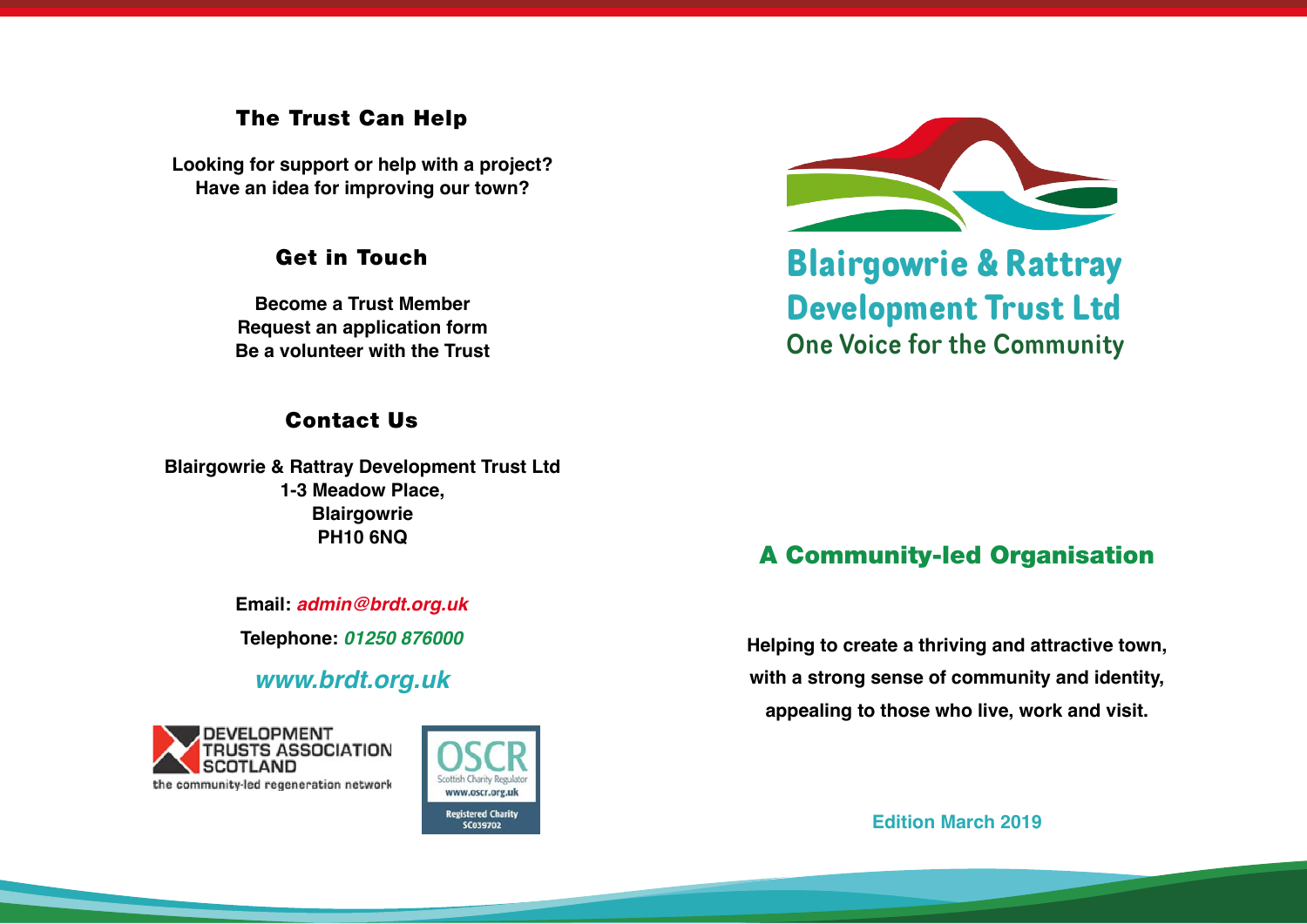#### The Trust Can Help

**Looking for support or help with a project? Have an idea for improving our town?**

#### Get in Touch

**Become a Trust Member Request an application form Be a volunteer with the Trust**

### Contact Us

**Blairgowrie & Rattray Development Trust Ltd 1-3 Meadow Place, Blairgowrie PH10 6NQ**

> **Email:** *[admin@brdt.org.uk](mailto:admin%40brdt.org.uk?subject=)* **Telephone:** *01250 876000*

*[www.brdt.org.uk](http://www.brdt.org.uk)*







**Blairgowrie & Rattray Development Trust Ltd** One Voice for the Community

# A Community-led Organisation

**Helping to create a thriving and attractive town, with a strong sense of community and identity, appealing to those who live, work and visit.**

**Edition March 2019**